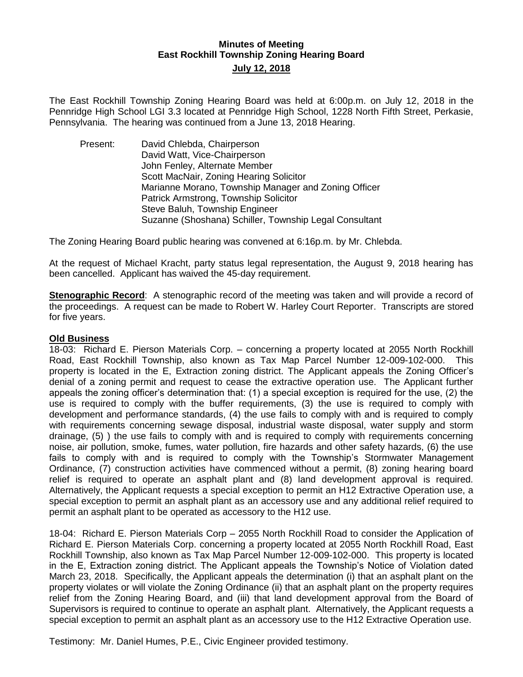## **Minutes of Meeting East Rockhill Township Zoning Hearing Board July 12, 2018**

The East Rockhill Township Zoning Hearing Board was held at 6:00p.m. on July 12, 2018 in the Pennridge High School LGI 3.3 located at Pennridge High School, 1228 North Fifth Street, Perkasie, Pennsylvania. The hearing was continued from a June 13, 2018 Hearing.

Present: David Chlebda, Chairperson David Watt, Vice-Chairperson John Fenley, Alternate Member Scott MacNair, Zoning Hearing Solicitor Marianne Morano, Township Manager and Zoning Officer Patrick Armstrong, Township Solicitor Steve Baluh, Township Engineer Suzanne (Shoshana) Schiller, Township Legal Consultant

The Zoning Hearing Board public hearing was convened at 6:16p.m. by Mr. Chlebda.

At the request of Michael Kracht, party status legal representation, the August 9, 2018 hearing has been cancelled. Applicant has waived the 45-day requirement.

**Stenographic Record**: A stenographic record of the meeting was taken and will provide a record of the proceedings. A request can be made to Robert W. Harley Court Reporter. Transcripts are stored for five years.

### **Old Business**

18-03: Richard E. Pierson Materials Corp. – concerning a property located at 2055 North Rockhill Road, East Rockhill Township, also known as Tax Map Parcel Number 12-009-102-000. This property is located in the E, Extraction zoning district. The Applicant appeals the Zoning Officer's denial of a zoning permit and request to cease the extractive operation use. The Applicant further appeals the zoning officer's determination that: (1) a special exception is required for the use, (2) the use is required to comply with the buffer requirements, (3) the use is required to comply with development and performance standards, (4) the use fails to comply with and is required to comply with requirements concerning sewage disposal, industrial waste disposal, water supply and storm drainage, (5) ) the use fails to comply with and is required to comply with requirements concerning noise, air pollution, smoke, fumes, water pollution, fire hazards and other safety hazards, (6) the use fails to comply with and is required to comply with the Township's Stormwater Management Ordinance, (7) construction activities have commenced without a permit, (8) zoning hearing board relief is required to operate an asphalt plant and (8) land development approval is required. Alternatively, the Applicant requests a special exception to permit an H12 Extractive Operation use, a special exception to permit an asphalt plant as an accessory use and any additional relief required to permit an asphalt plant to be operated as accessory to the H12 use.

18-04: Richard E. Pierson Materials Corp – 2055 North Rockhill Road to consider the Application of Richard E. Pierson Materials Corp. concerning a property located at 2055 North Rockhill Road, East Rockhill Township, also known as Tax Map Parcel Number 12-009-102-000. This property is located in the E, Extraction zoning district. The Applicant appeals the Township's Notice of Violation dated March 23, 2018. Specifically, the Applicant appeals the determination (i) that an asphalt plant on the property violates or will violate the Zoning Ordinance (ii) that an asphalt plant on the property requires relief from the Zoning Hearing Board, and (iii) that land development approval from the Board of Supervisors is required to continue to operate an asphalt plant. Alternatively, the Applicant requests a special exception to permit an asphalt plant as an accessory use to the H12 Extractive Operation use.

Testimony: Mr. Daniel Humes, P.E., Civic Engineer provided testimony.